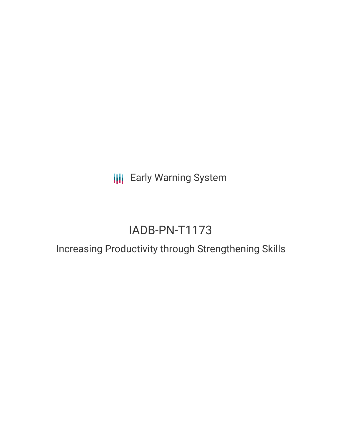**III** Early Warning System

# IADB-PN-T1173

## Increasing Productivity through Strengthening Skills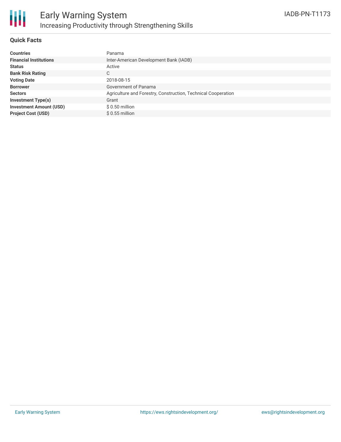

### **Quick Facts**

| <b>Countries</b>               | Panama                                                        |
|--------------------------------|---------------------------------------------------------------|
| <b>Financial Institutions</b>  | Inter-American Development Bank (IADB)                        |
| <b>Status</b>                  | Active                                                        |
| <b>Bank Risk Rating</b>        | C                                                             |
| <b>Voting Date</b>             | 2018-08-15                                                    |
| <b>Borrower</b>                | Government of Panama                                          |
| <b>Sectors</b>                 | Agriculture and Forestry, Construction, Technical Cooperation |
| <b>Investment Type(s)</b>      | Grant                                                         |
| <b>Investment Amount (USD)</b> | $$0.50$ million                                               |
| <b>Project Cost (USD)</b>      | $$0.55$ million                                               |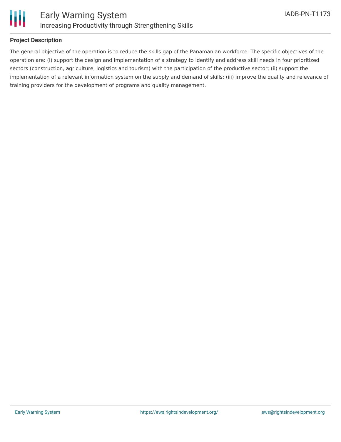

### **Project Description**

The general objective of the operation is to reduce the skills gap of the Panamanian workforce. The specific objectives of the operation are: (i) support the design and implementation of a strategy to identify and address skill needs in four prioritized sectors (construction, agriculture, logistics and tourism) with the participation of the productive sector; (ii) support the implementation of a relevant information system on the supply and demand of skills; (iii) improve the quality and relevance of training providers for the development of programs and quality management.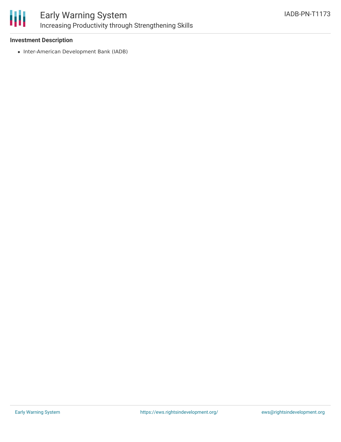

### Early Warning System Increasing Productivity through Strengthening Skills

### **Investment Description**

• Inter-American Development Bank (IADB)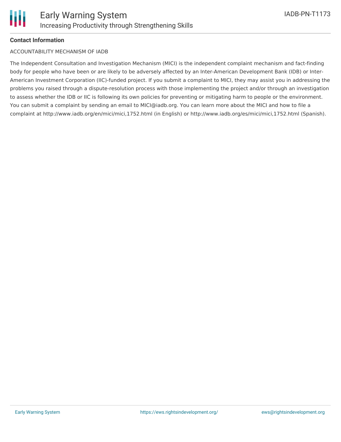### **Contact Information**

### ACCOUNTABILITY MECHANISM OF IADB

The Independent Consultation and Investigation Mechanism (MICI) is the independent complaint mechanism and fact-finding body for people who have been or are likely to be adversely affected by an Inter-American Development Bank (IDB) or Inter-American Investment Corporation (IIC)-funded project. If you submit a complaint to MICI, they may assist you in addressing the problems you raised through a dispute-resolution process with those implementing the project and/or through an investigation to assess whether the IDB or IIC is following its own policies for preventing or mitigating harm to people or the environment. You can submit a complaint by sending an email to MICI@iadb.org. You can learn more about the MICI and how to file a complaint at http://www.iadb.org/en/mici/mici,1752.html (in English) or http://www.iadb.org/es/mici/mici,1752.html (Spanish).